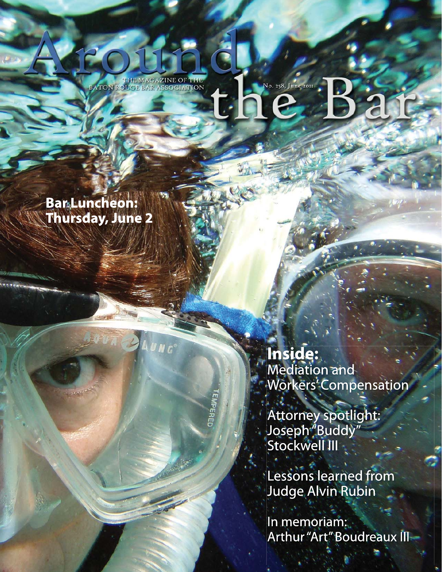THE MAGAZINE OF THE BATON ROUGE BAR ASSOCIATION

No. 258, June 2011

Bar Luncheon: **Thursday, June 2** 

> Inside: Mediation and Workers' Compensation

Attorney spotlight: Joseph<sup>"</sup>Buddy" Stockwell III

**EMPERED** 

Lessons learned from **Judge Alvin Rubin** 

In memoriam: Arthur "Art" Boudreaux III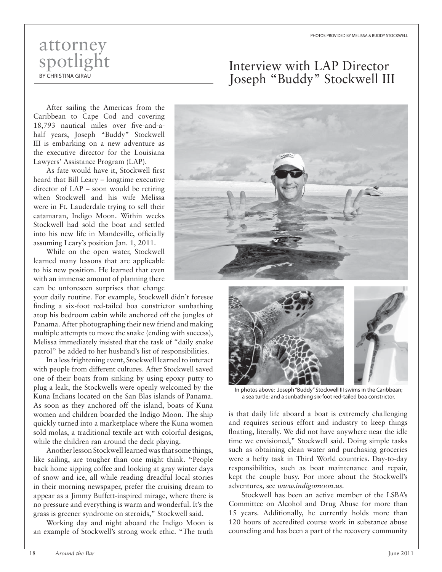## attorney spotlight BY CHRISTINA GIRAU

After sailing the Americas from the Caribbean to Cape Cod and covering 18,793 nautical miles over five-and-ahalf years, Joseph "Buddy" Stockwell III is embarking on a new adventure as the executive director for the Louisiana Lawyers' Assistance Program (LAP).

As fate would have it, Stockwell first heard that Bill Leary – longtime executive director of LAP – soon would be retiring when Stockwell and his wife Melissa were in Ft. Lauderdale trying to sell their catamaran, Indigo Moon. Within weeks Stockwell had sold the boat and settled into his new life in Mandeville, officially assuming Leary's position Jan. 1, 2011.

While on the open water, Stockwell learned many lessons that are applicable to his new position. He learned that even with an immense amount of planning there can be unforeseen surprises that change

your daily routine. For example, Stockwell didn't foresee finding a six-foot red-tailed boa constrictor sunbathing atop his bedroom cabin while anchored off the jungles of Panama. After photographing their new friend and making multiple attempts to move the snake (ending with success), Melissa immediately insisted that the task of "daily snake patrol" be added to her husband's list of responsibilities.

In a less frightening event, Stockwell learned to interact with people from different cultures. After Stockwell saved one of their boats from sinking by using epoxy putty to plug a leak, the Stockwells were openly welcomed by the Kuna Indians located on the San Blas islands of Panama. As soon as they anchored off the island, boats of Kuna women and children boarded the Indigo Moon. The ship quickly turned into a marketplace where the Kuna women sold molas, a traditional textile art with colorful designs, while the children ran around the deck playing.

Another lesson Stockwell learned was that some things, like sailing, are tougher than one might think. "People back home sipping coffee and looking at gray winter days of snow and ice, all while reading dreadful local stories in their morning newspaper, prefer the cruising dream to appear as a Jimmy Buffett-inspired mirage, where there is no pressure and everything is warm and wonderful. It's the grass is greener syndrome on steroids," Stockwell said.

Working day and night aboard the Indigo Moon is an example of Stockwell's strong work ethic. "The truth





In photos above: Joseph "Buddy" Stockwell III swims in the Caribbean; a sea turtle; and a sunbathing six-foot red-tailed boa constrictor.

is that daily life aboard a boat is extremely challenging and requires serious effort and industry to keep things floating, literally. We did not have anywhere near the idle time we envisioned," Stockwell said. Doing simple tasks such as obtaining clean water and purchasing groceries were a hefty task in Third World countries. Day-to-day responsibilities, such as boat maintenance and repair, kept the couple busy. For more about the Stockwell's adventures, see *www.indigomoon.us.*

Stockwell has been an active member of the LSBA's Committee on Alcohol and Drug Abuse for more than 15 years. Additionally, he currently holds more than 120 hours of accredited course work in substance abuse counseling and has been a part of the recovery community